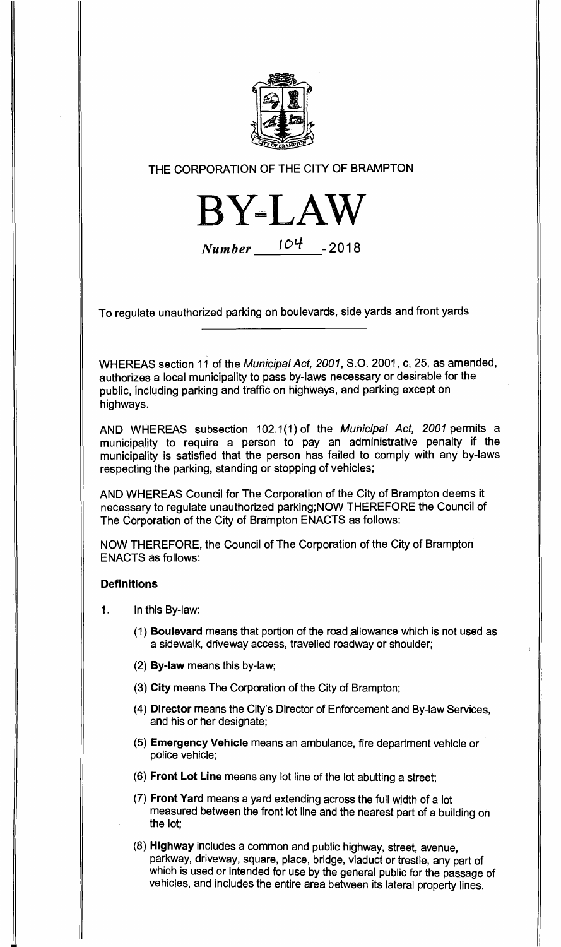

# THE CORPORATION OF THE CITY OF BRAMPTON

**BY** Number 104 **-2018** 

To regulate unauthorized parking on boulevards, side yards and front yards

WHEREAS section 11 of the Municipal Act, 2001, S.O. 2001, c. 25, as amended, authorizes a local municipality to pass by-laws necessary or desirable for the public, including parking and traffic on highways, and parking except on highways.

AND WHEREAS subsection 102.1(1) of the Municipal Act, 2001 permits a municipality to require a person to pay an administrative penalty if the municipality is satisfied that the person has failed to comply with any by-laws respecting the parking, standing or stopping of vehicles;

AND WHEREAS Council for The Corporation of the City of Brampton deems it necessary to regulate unauthorized parking;NOW THEREFORE the Council of The Corporation of the City of Brampton ENACTS as follows:

NOW THEREFORE, the Council of The Corporation of the City of Brampton ENACTS as follows:

#### **Definitions**

- 1. In this By-law:
	- **(1) Boulevard** means that portion of the road allowance which is not used as a sidewalk, driveway access, travelled roadway or shoulder;
	- **(2) By-law** means this by-law;
	- **(3) City** means The Corporation of the City of Brampton;
	- **(4) Director** means the City's Director of Enforcement and By-law Services, and his or her designate;
	- **(5) Emergency Vehicle** means an ambulance, fire department vehicle or police vehicle;
	- **(6) Front Lot Line** means any lot line of the lot abutting a street;
	- **(7) Front Yard** means a yard extending across the full width of a lot measured between the front lot line and the nearest part of a building on the lot;
	- **(8) Highway** includes a common and public highway, street, avenue, parkway, driveway, square, place, bridge, viaduct or trestle, any part of which is used or intended for use by the general public for the passage of vehicles, and includes the entire area between its lateral property lines.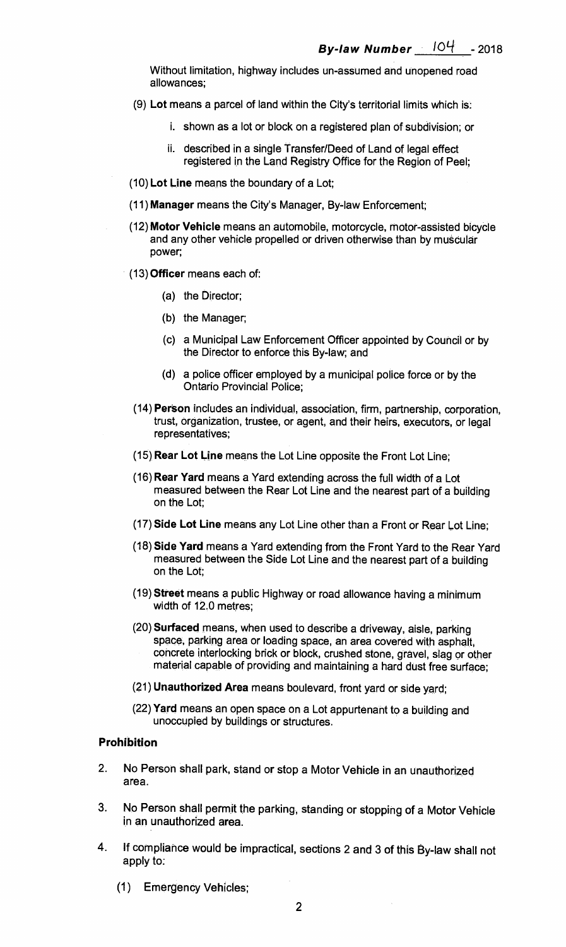Without limitation, highway includes un-assumed and unopened road allowances;

- (9) **Lot** means a parcel of land within the City's territorial limits which is:
	- i. shown as a lot or block on a registered plan of subdivision; or
	- ii. described in a single Transfer/Deed of Land of legal effect registered in the Land Registry Office for the Region of Peel;
- (10) **Lot Line** means the boundary of a Lot;
- (11) **Manager** means the City's Manager, By-law Enforcement;
- (12) **Motor Vehicle** means an automobile, motorcycle, motor-assisted bicycle and any other vehicle propelled or driven otherwise than by muscular power;
- (13) **Officer** means each of:
	- (a) the Director;
	- (b) the Manager;
	- (c) a Municipal Law Enforcement Officer appointed by Council or by the Director to enforce this By-law; and
	- (d) a police officer employed by a municipal police force or by the Ontario Provincial Police;
- (14) **Person** includes an individual, association, firm, partnership, corporation, trust, organization, trustee, or agent, and their heirs, executors, or legal representatives;
- (15) **Rear Lot Line** means the Lot Line opposite the Front Lot Line;
- (16) **Rear Yard** means a Yard extending across the full width of a Lot measured between the Rear Lot Line and the nearest part of a building on the Lot;
- (17) **Side Lot Line** means any Lot Line other than a Front or Rear Lot Line;
- (18) **Side Yard** means a Yard extending from the Front Yard to the Rear Yard measured between the Side Lot Line and the nearest part of a building on the Lot;
- (19) **Street** means a public Highway or road allowance having a minimum width of 12.0 metres;
- (20) **Surfaced** means, when used to describe a driveway, aisle, parking space, parking area or loading space, an area covered with asphalt, concrete interlocking brick or block, crushed stone, gravel, slag or other material capable of providing and maintaining a hard dust free surface;
- (21) **Unauthorized Area** means boulevard, front yard or side yard;
- (22) **Yard** means an open space on a Lot appurtenant to a building and unoccupied by buildings or structures.

### **Prohibition**

- 2. No Person shall park, stand or stop a Motor Vehicle in an unauthorized area.
- 3. No Person shall permit the parking, standing or stopping of a Motor Vehicle in an unauthorized area.
- 4. If compliance would be impractical, sections 2 and 3 of this By-law shall not apply to:
	- (1) Emergency Vehicles;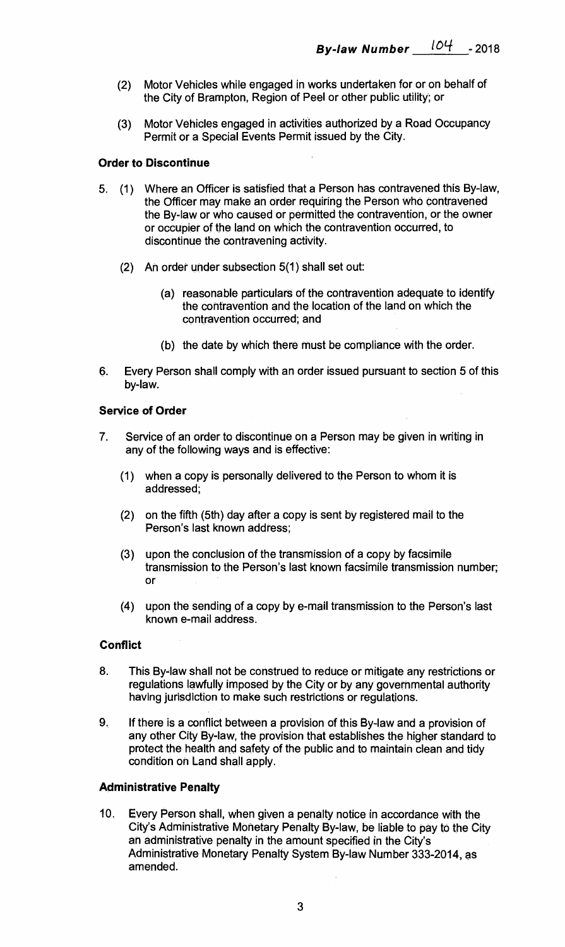- (2) Motor Vehicles while engaged in works undertaken for or on behalf of the City of Brampton, Region of Peel or other public utility; or
- (3) Motor Vehicles engaged in activities authorized by a Road Occupancy Permit or a Special Events Permit issued by the City.

# **Order to Discontinue**

- 5. (1) Where an Officer is satisfied that a Person has contravened this By-law, the Officer may make an order requiring the Person who contravened the By-law or who caused or permitted the contravention, or the owner or occupier of the land on which the contravention occurred, to discontinue the contravening activity.
	- (2) An order under subsection 5(1) shall set out:
		- (a) reasonable particulars of the contravention adequate to identify the contravention and the location of the land on which the contravention occurred; and
		- (b) the date by which there must be compliance with the order.
- 6. Every Person shall comply with an order issued pursuant to section 5 of this by-law.

### **Service of Order**

- 7. Service of an order to discontinue on a Person may be given in writing in any of the following ways and is effective:
	- (1) when a copy is personally delivered to the Person to whom it is addressed;
	- (2) on the fifth (5th) day after a copy is sent by registered mail to the Person's last known address;
	- (3) upon the conclusion of the transmission of a copy by facsimile transmission to the Person's last known facsimile transmission number; or
	- (4) upon the sending of a copy by e-mail transmission to the Person's last known e-mail address.

#### **Conflict**

- 8. This By-law shall not be construed to reduce or mitigate any restrictions or regulations lawfully imposed by the City or by any governmental authority having jurisdiction to make such restrictions or regulations.
- 9. If there is a conflict between a provision of this By-law and a provision of any other City By-law, the provision that establishes the higher standard to protect the health and safety of the public and to maintain clean and tidy condition on Land shall apply.

# **Administrative Penalty**

10. Every Person shall, when given a penalty notice in accordance with the City's Administrative Monetary Penalty By-law, be liable to pay to the City an administrative penalty in the amount specified in the City's Administrative Monetary Penalty System By-law Number 333-2014, as amended.